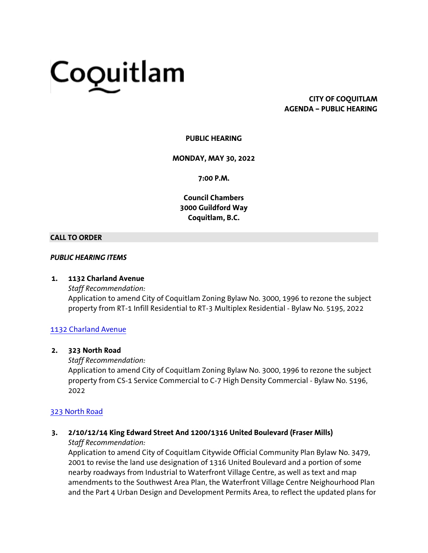# Coquitlam

# **CITY OF COQUITLAM AGENDA – PUBLIC HEARING**

# **PUBLIC HEARING**

## **MONDAY, MAY 30, 2022**

**7:00 P.M.**

**Council Chambers 3000 Guildford Way Coquitlam, B.C.**

## **CALL TO ORDER**

## *PUBLIC HEARING ITEMS*

#### **1. 1132 Charland Avenue**

*Staff Recommendation:* Application to amend City of Coquitlam Zoning Bylaw No. 3000, 1996 to rezone the subject property from RT-1 Infill Residential to RT-3 Multiplex Residential - Bylaw No. 5195, 2022

# [1132 Charland Avenue](https://coquitlam.ca.granicus.com/MetaViewer.php?view_id=&event_id=1416&meta_id=55580)

## **2. 323 North Road**

#### *Staff Recommendation:*

Application to amend City of Coquitlam Zoning Bylaw No. 3000, 1996 to rezone the subject property from CS-1 Service Commercial to C-7 High Density Commercial - Bylaw No. 5196, 2022

# [323 North Road](https://coquitlam.ca.granicus.com/MetaViewer.php?view_id=&event_id=1416&meta_id=55582)

#### **3. 2/10/12/14 King Edward Street And 1200/1316 United Boulevard (Fraser Mills)** *Staff Recommendation:*

Application to amend City of Coquitlam Citywide Official Community Plan Bylaw No. 3479, 2001 to revise the land use designation of 1316 United Boulevard and a portion of some nearby roadways from Industrial to Waterfront Village Centre, as well as text and map amendments to the Southwest Area Plan, the Waterfront Village Centre Neighourhood Plan and the Part 4 Urban Design and Development Permits Area, to reflect the updated plans for